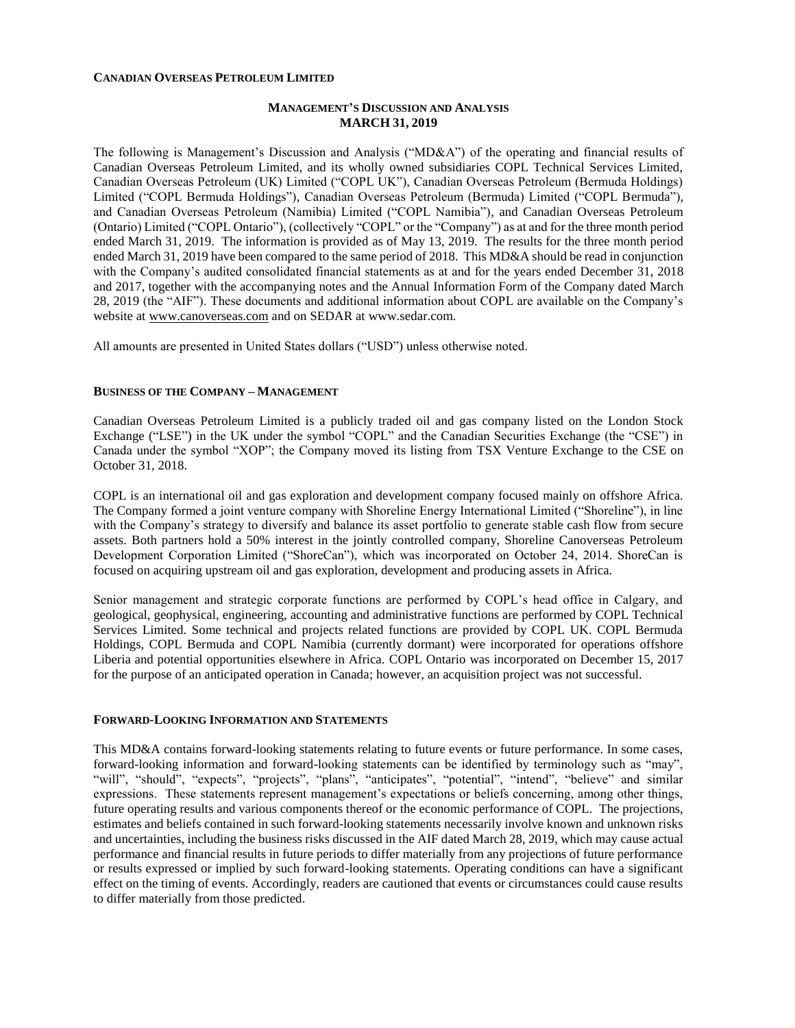#### **CANADIAN OVERSEAS PETROLEUM LIMITED**

## **MANAGEMENT'S DISCUSSION AND ANALYSIS MARCH 31, 2019**

The following is Management's Discussion and Analysis ("MD&A") of the operating and financial results of Canadian Overseas Petroleum Limited, and its wholly owned subsidiaries COPL Technical Services Limited, Canadian Overseas Petroleum (UK) Limited ("COPL UK"), Canadian Overseas Petroleum (Bermuda Holdings) Limited ("COPL Bermuda Holdings"), Canadian Overseas Petroleum (Bermuda) Limited ("COPL Bermuda"), and Canadian Overseas Petroleum (Namibia) Limited ("COPL Namibia"), and Canadian Overseas Petroleum (Ontario) Limited ("COPL Ontario"), (collectively "COPL" or the "Company") as at and for the three month period ended March 31, 2019. The information is provided as of May 13, 2019. The results for the three month period ended March 31, 2019 have been compared to the same period of 2018. This MD&A should be read in conjunction with the Company's audited consolidated financial statements as at and for the years ended December 31, 2018 and 2017, together with the accompanying notes and the Annual Information Form of the Company dated March 28, 2019 (the "AIF"). These documents and additional information about COPL are available on the Company's website at [www.canoverseas.com](http://www.canoverseas.com/) and on SEDAR at [www.sedar.com.](http://www.sedar.com/)

All amounts are presented in United States dollars ("USD") unless otherwise noted.

#### **BUSINESS OF THE COMPANY – MANAGEMENT**

Canadian Overseas Petroleum Limited is a publicly traded oil and gas company listed on the London Stock Exchange ("LSE") in the UK under the symbol "COPL" and the Canadian Securities Exchange (the "CSE") in Canada under the symbol "XOP"; the Company moved its listing from TSX Venture Exchange to the CSE on October 31, 2018.

COPL is an international oil and gas exploration and development company focused mainly on offshore Africa. The Company formed a joint venture company with Shoreline Energy International Limited ("Shoreline"), in line with the Company's strategy to diversify and balance its asset portfolio to generate stable cash flow from secure assets. Both partners hold a 50% interest in the jointly controlled company, Shoreline Canoverseas Petroleum Development Corporation Limited ("ShoreCan"), which was incorporated on October 24, 2014. ShoreCan is focused on acquiring upstream oil and gas exploration, development and producing assets in Africa.

Senior management and strategic corporate functions are performed by COPL's head office in Calgary, and geological, geophysical, engineering, accounting and administrative functions are performed by COPL Technical Services Limited. Some technical and projects related functions are provided by COPL UK. COPL Bermuda Holdings, COPL Bermuda and COPL Namibia (currently dormant) were incorporated for operations offshore Liberia and potential opportunities elsewhere in Africa. COPL Ontario was incorporated on December 15, 2017 for the purpose of an anticipated operation in Canada; however, an acquisition project was not successful.

#### **FORWARD-LOOKING INFORMATION AND STATEMENTS**

This MD&A contains forward-looking statements relating to future events or future performance. In some cases, forward-looking information and forward-looking statements can be identified by terminology such as "may", "will", "should", "expects", "projects", "plans", "anticipates", "potential", "intend", "believe" and similar expressions. These statements represent management's expectations or beliefs concerning, among other things, future operating results and various components thereof or the economic performance of COPL. The projections, estimates and beliefs contained in such forward-looking statements necessarily involve known and unknown risks and uncertainties, including the business risks discussed in the AIF dated March 28, 2019, which may cause actual performance and financial results in future periods to differ materially from any projections of future performance or results expressed or implied by such forward-looking statements. Operating conditions can have a significant effect on the timing of events. Accordingly, readers are cautioned that events or circumstances could cause results to differ materially from those predicted.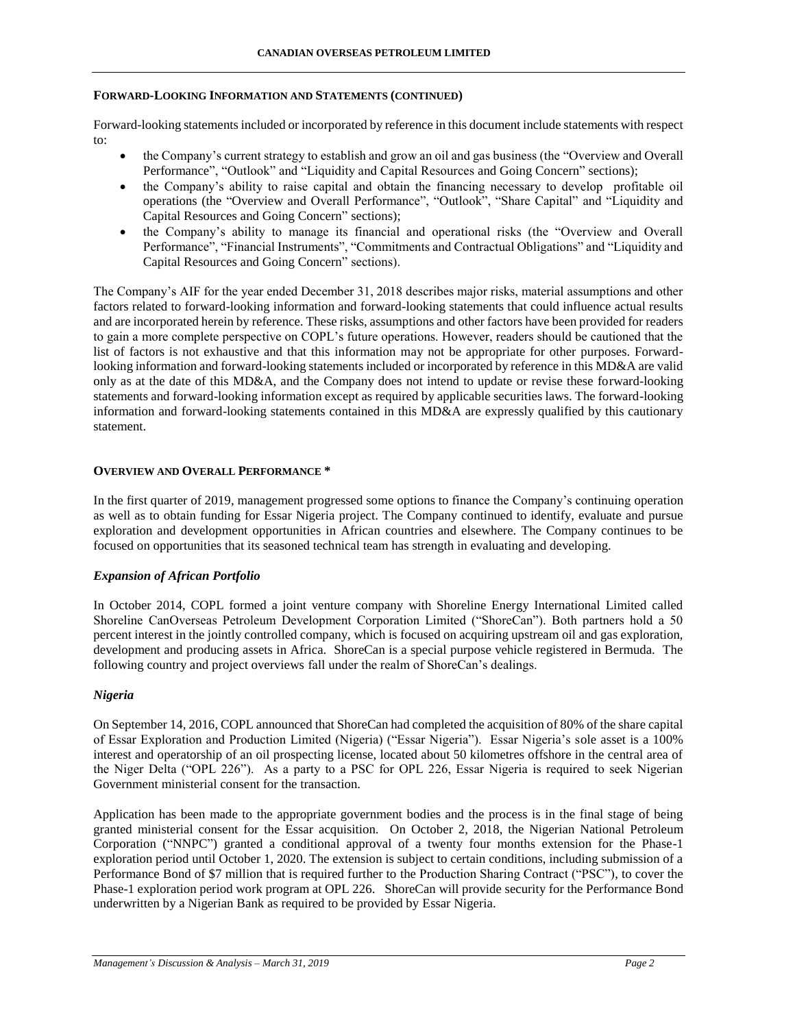### **FORWARD-LOOKING INFORMATION AND STATEMENTS (CONTINUED)**

Forward-looking statements included or incorporated by reference in this document include statements with respect to:

- the Company's current strategy to establish and grow an oil and gas business (the "Overview and Overall Performance", "Outlook" and "Liquidity and Capital Resources and Going Concern" sections);
- the Company's ability to raise capital and obtain the financing necessary to develop profitable oil operations (the "Overview and Overall Performance", "Outlook", "Share Capital" and "Liquidity and Capital Resources and Going Concern" sections);
- the Company's ability to manage its financial and operational risks (the "Overview and Overall Performance", "Financial Instruments", "Commitments and Contractual Obligations" and "Liquidity and Capital Resources and Going Concern" sections).

The Company's AIF for the year ended December 31, 2018 describes major risks, material assumptions and other factors related to forward-looking information and forward-looking statements that could influence actual results and are incorporated herein by reference. These risks, assumptions and other factors have been provided for readers to gain a more complete perspective on COPL's future operations. However, readers should be cautioned that the list of factors is not exhaustive and that this information may not be appropriate for other purposes. Forwardlooking information and forward-looking statements included or incorporated by reference in this MD&A are valid only as at the date of this MD&A, and the Company does not intend to update or revise these forward-looking statements and forward-looking information except as required by applicable securities laws. The forward-looking information and forward-looking statements contained in this MD&A are expressly qualified by this cautionary statement.

# **OVERVIEW AND OVERALL PERFORMANCE \***

In the first quarter of 2019, management progressed some options to finance the Company's continuing operation as well as to obtain funding for Essar Nigeria project. The Company continued to identify, evaluate and pursue exploration and development opportunities in African countries and elsewhere. The Company continues to be focused on opportunities that its seasoned technical team has strength in evaluating and developing.

### *Expansion of African Portfolio*

In October 2014, COPL formed a joint venture company with Shoreline Energy International Limited called Shoreline CanOverseas Petroleum Development Corporation Limited ("ShoreCan"). Both partners hold a 50 percent interest in the jointly controlled company, which is focused on acquiring upstream oil and gas exploration, development and producing assets in Africa. ShoreCan is a special purpose vehicle registered in Bermuda. The following country and project overviews fall under the realm of ShoreCan's dealings.

### *Nigeria*

On September 14, 2016, COPL announced that ShoreCan had completed the acquisition of 80% of the share capital of Essar Exploration and Production Limited (Nigeria) ("Essar Nigeria"). Essar Nigeria's sole asset is a 100% interest and operatorship of an oil prospecting license, located about 50 kilometres offshore in the central area of the Niger Delta ("OPL 226"). As a party to a PSC for OPL 226, Essar Nigeria is required to seek Nigerian Government ministerial consent for the transaction.

Application has been made to the appropriate government bodies and the process is in the final stage of being granted ministerial consent for the Essar acquisition. On October 2, 2018, the Nigerian National Petroleum Corporation ("NNPC") granted a conditional approval of a twenty four months extension for the Phase-1 exploration period until October 1, 2020. The extension is subject to certain conditions, including submission of a Performance Bond of \$7 million that is required further to the Production Sharing Contract ("PSC"), to cover the Phase-1 exploration period work program at OPL 226. ShoreCan will provide security for the Performance Bond underwritten by a Nigerian Bank as required to be provided by Essar Nigeria.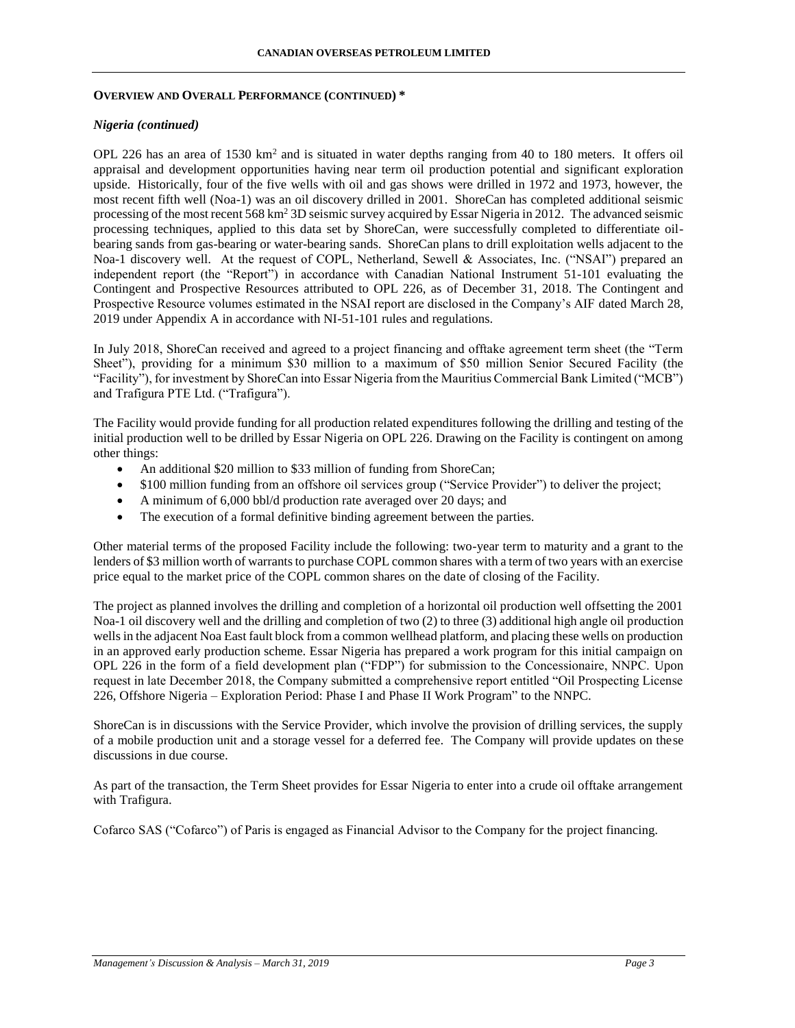#### **OVERVIEW AND OVERALL PERFORMANCE (CONTINUED) \***

### *Nigeria (continued)*

OPL 226 has an area of 1530  $km^2$  and is situated in water depths ranging from 40 to 180 meters. It offers oil appraisal and development opportunities having near term oil production potential and significant exploration upside. Historically, four of the five wells with oil and gas shows were drilled in 1972 and 1973, however, the most recent fifth well (Noa-1) was an oil discovery drilled in 2001. ShoreCan has completed additional seismic processing of the most recent 568 km<sup>2</sup> 3D seismic survey acquired by Essar Nigeria in 2012. The advanced seismic processing techniques, applied to this data set by ShoreCan, were successfully completed to differentiate oilbearing sands from gas-bearing or water-bearing sands. ShoreCan plans to drill exploitation wells adjacent to the Noa-1 discovery well. At the request of COPL, Netherland, Sewell & Associates, Inc. ("NSAI") prepared an independent report (the "Report") in accordance with Canadian National Instrument 51-101 evaluating the Contingent and Prospective Resources attributed to OPL 226, as of December 31, 2018. The Contingent and Prospective Resource volumes estimated in the NSAI report are disclosed in the Company's AIF dated March 28, 2019 under Appendix A in accordance with NI-51-101 rules and regulations.

In July 2018, ShoreCan received and agreed to a project financing and offtake agreement term sheet (the "Term Sheet"), providing for a minimum \$30 million to a maximum of \$50 million Senior Secured Facility (the "Facility"), for investment by ShoreCan into Essar Nigeria from the Mauritius Commercial Bank Limited ("MCB") and Trafigura PTE Ltd. ("Trafigura").

The Facility would provide funding for all production related expenditures following the drilling and testing of the initial production well to be drilled by Essar Nigeria on OPL 226. Drawing on the Facility is contingent on among other things:

- An additional \$20 million to \$33 million of funding from ShoreCan;
- \$100 million funding from an offshore oil services group ("Service Provider") to deliver the project;
- A minimum of 6,000 bbl/d production rate averaged over 20 days; and
- The execution of a formal definitive binding agreement between the parties.

Other material terms of the proposed Facility include the following: two-year term to maturity and a grant to the lenders of \$3 million worth of warrants to purchase COPL common shares with a term of two years with an exercise price equal to the market price of the COPL common shares on the date of closing of the Facility.

The project as planned involves the drilling and completion of a horizontal oil production well offsetting the 2001 Noa-1 oil discovery well and the drilling and completion of two (2) to three (3) additional high angle oil production wells in the adjacent Noa East fault block from a common wellhead platform, and placing these wells on production in an approved early production scheme. Essar Nigeria has prepared a work program for this initial campaign on OPL 226 in the form of a field development plan ("FDP") for submission to the Concessionaire, NNPC. Upon request in late December 2018, the Company submitted a comprehensive report entitled "Oil Prospecting License 226, Offshore Nigeria – Exploration Period: Phase I and Phase II Work Program" to the NNPC.

ShoreCan is in discussions with the Service Provider, which involve the provision of drilling services, the supply of a mobile production unit and a storage vessel for a deferred fee. The Company will provide updates on these discussions in due course.

As part of the transaction, the Term Sheet provides for Essar Nigeria to enter into a crude oil offtake arrangement with Trafigura.

Cofarco SAS ("Cofarco") of Paris is engaged as Financial Advisor to the Company for the project financing.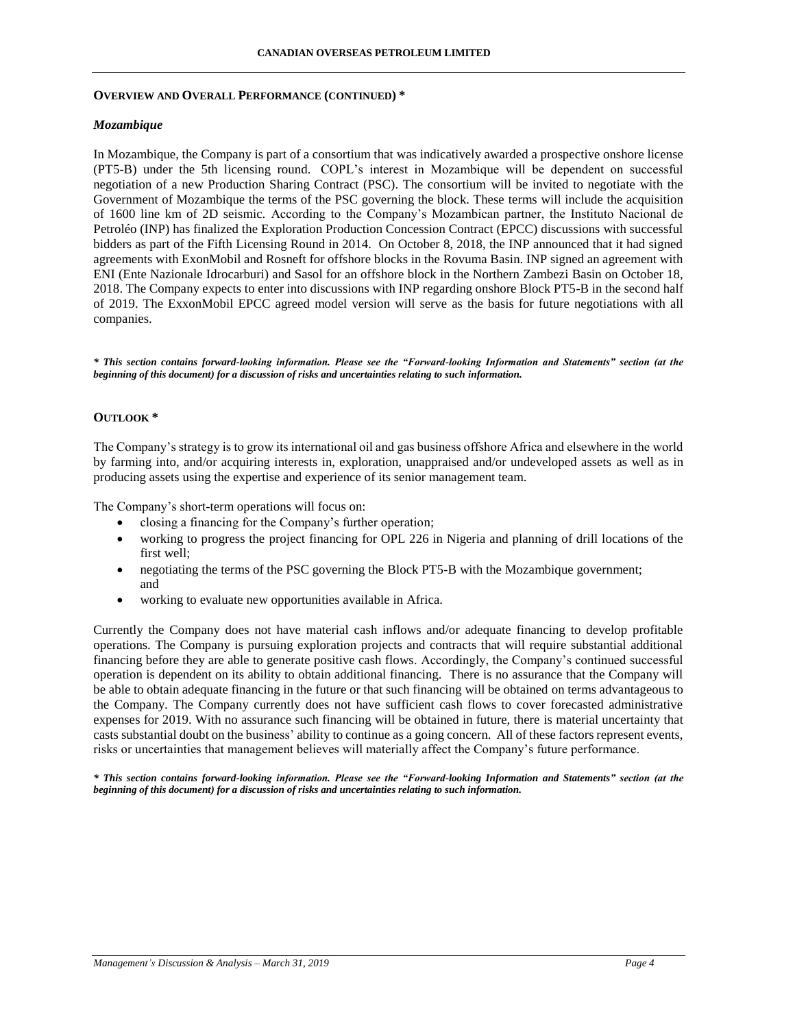### **OVERVIEW AND OVERALL PERFORMANCE (CONTINUED) \***

# *Mozambique*

In Mozambique, the Company is part of a consortium that was indicatively awarded a prospective onshore license (PT5-B) under the 5th licensing round. COPL's interest in Mozambique will be dependent on successful negotiation of a new Production Sharing Contract (PSC). The consortium will be invited to negotiate with the Government of Mozambique the terms of the PSC governing the block. These terms will include the acquisition of 1600 line km of 2D seismic. According to the Company's Mozambican partner, the Instituto Nacional de Petroléo (INP) has finalized the Exploration Production Concession Contract (EPCC) discussions with successful bidders as part of the Fifth Licensing Round in 2014. On October 8, 2018, the INP announced that it had signed agreements with ExonMobil and Rosneft for offshore blocks in the Rovuma Basin. INP signed an agreement with ENI (Ente Nazionale Idrocarburi) and Sasol for an offshore block in the Northern Zambezi Basin on October 18, 2018. The Company expects to enter into discussions with INP regarding onshore Block PT5-B in the second half of 2019. The ExxonMobil EPCC agreed model version will serve as the basis for future negotiations with all companies.

*\* This section contains forward-looking information. Please see the "Forward-looking Information and Statements" section (at the beginning of this document) for a discussion of risks and uncertainties relating to such information.*

# **OUTLOOK \***

The Company's strategy is to grow its international oil and gas business offshore Africa and elsewhere in the world by farming into, and/or acquiring interests in, exploration, unappraised and/or undeveloped assets as well as in producing assets using the expertise and experience of its senior management team.

The Company's short-term operations will focus on:

- closing a financing for the Company's further operation;
- working to progress the project financing for OPL 226 in Nigeria and planning of drill locations of the first well;
- negotiating the terms of the PSC governing the Block PT5-B with the Mozambique government; and
- working to evaluate new opportunities available in Africa.

Currently the Company does not have material cash inflows and/or adequate financing to develop profitable operations. The Company is pursuing exploration projects and contracts that will require substantial additional financing before they are able to generate positive cash flows. Accordingly, the Company's continued successful operation is dependent on its ability to obtain additional financing. There is no assurance that the Company will be able to obtain adequate financing in the future or that such financing will be obtained on terms advantageous to the Company. The Company currently does not have sufficient cash flows to cover forecasted administrative expenses for 2019. With no assurance such financing will be obtained in future, there is material uncertainty that casts substantial doubt on the business' ability to continue as a going concern. All of these factors represent events, risks or uncertainties that management believes will materially affect the Company's future performance.

*\* This section contains forward-looking information. Please see the "Forward-looking Information and Statements" section (at the beginning of this document) for a discussion of risks and uncertainties relating to such information.*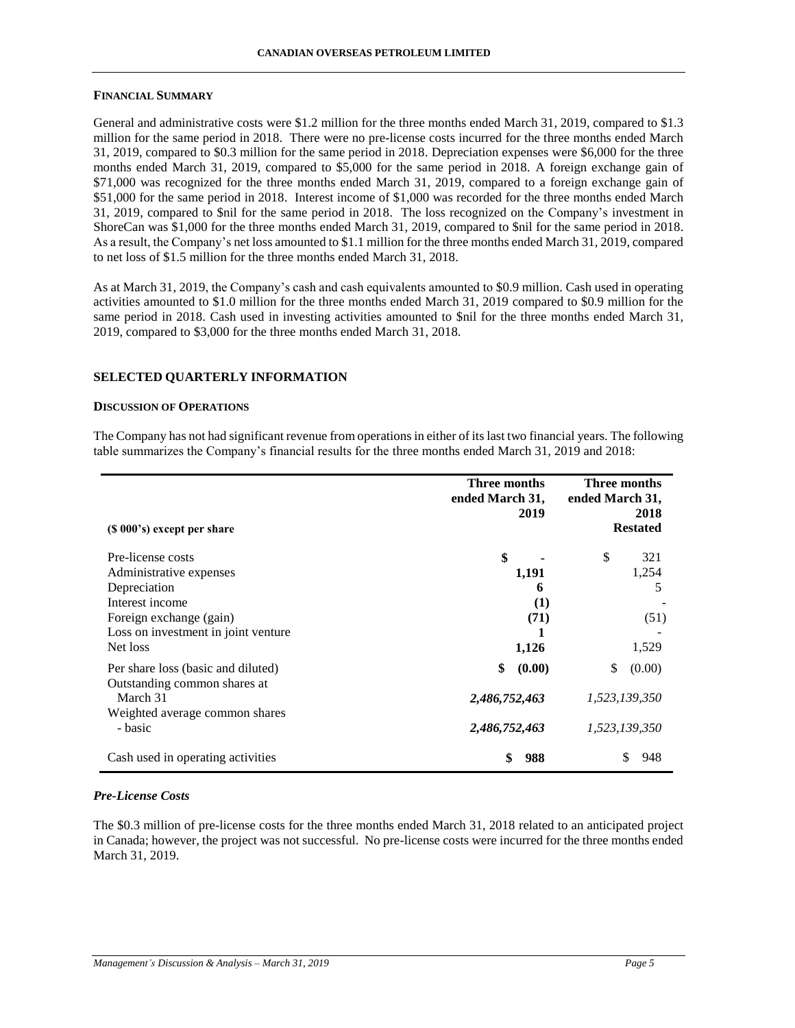#### **FINANCIAL SUMMARY**

General and administrative costs were \$1.2 million for the three months ended March 31, 2019, compared to \$1.3 million for the same period in 2018. There were no pre-license costs incurred for the three months ended March 31, 2019, compared to \$0.3 million for the same period in 2018. Depreciation expenses were \$6,000 for the three months ended March 31, 2019, compared to \$5,000 for the same period in 2018. A foreign exchange gain of \$71,000 was recognized for the three months ended March 31, 2019, compared to a foreign exchange gain of \$51,000 for the same period in 2018. Interest income of \$1,000 was recorded for the three months ended March 31, 2019, compared to \$nil for the same period in 2018. The loss recognized on the Company's investment in ShoreCan was \$1,000 for the three months ended March 31, 2019, compared to \$nil for the same period in 2018. As a result, the Company's net loss amounted to \$1.1 million for the three months ended March 31, 2019, compared to net loss of \$1.5 million for the three months ended March 31, 2018.

As at March 31, 2019, the Company's cash and cash equivalents amounted to \$0.9 million. Cash used in operating activities amounted to \$1.0 million for the three months ended March 31, 2019 compared to \$0.9 million for the same period in 2018. Cash used in investing activities amounted to \$nil for the three months ended March 31, 2019, compared to \$3,000 for the three months ended March 31, 2018.

### **SELECTED QUARTERLY INFORMATION**

#### **DISCUSSION OF OPERATIONS**

The Company has not had significant revenue from operations in either of its last two financial years. The following table summarizes the Company's financial results for the three months ended March 31, 2019 and 2018:

|                                                                    | Three months<br>ended March 31,<br>2019 | Three months<br>ended March 31,<br>2018<br><b>Restated</b> |
|--------------------------------------------------------------------|-----------------------------------------|------------------------------------------------------------|
| $(S 000's)$ except per share                                       |                                         |                                                            |
| Pre-license costs<br>Administrative expenses                       | \$<br>1,191                             | \$<br>321<br>1,254                                         |
| Depreciation<br>Interest income                                    | 6<br>(1)                                | 5                                                          |
| Foreign exchange (gain)<br>Loss on investment in joint venture     | (71)                                    | (51)                                                       |
| Net loss                                                           | 1,126                                   | 1,529                                                      |
| Per share loss (basic and diluted)<br>Outstanding common shares at | \$<br>(0.00)                            | \$<br>(0.00)                                               |
| March 31<br>Weighted average common shares                         | 2,486,752,463                           | 1,523,139,350                                              |
| - basic                                                            | 2,486,752,463                           | 1,523,139,350                                              |
| Cash used in operating activities                                  | \$<br>988                               | 948                                                        |

### *Pre-License Costs*

The \$0.3 million of pre-license costs for the three months ended March 31, 2018 related to an anticipated project in Canada; however, the project was not successful. No pre-license costs were incurred for the three months ended March 31, 2019.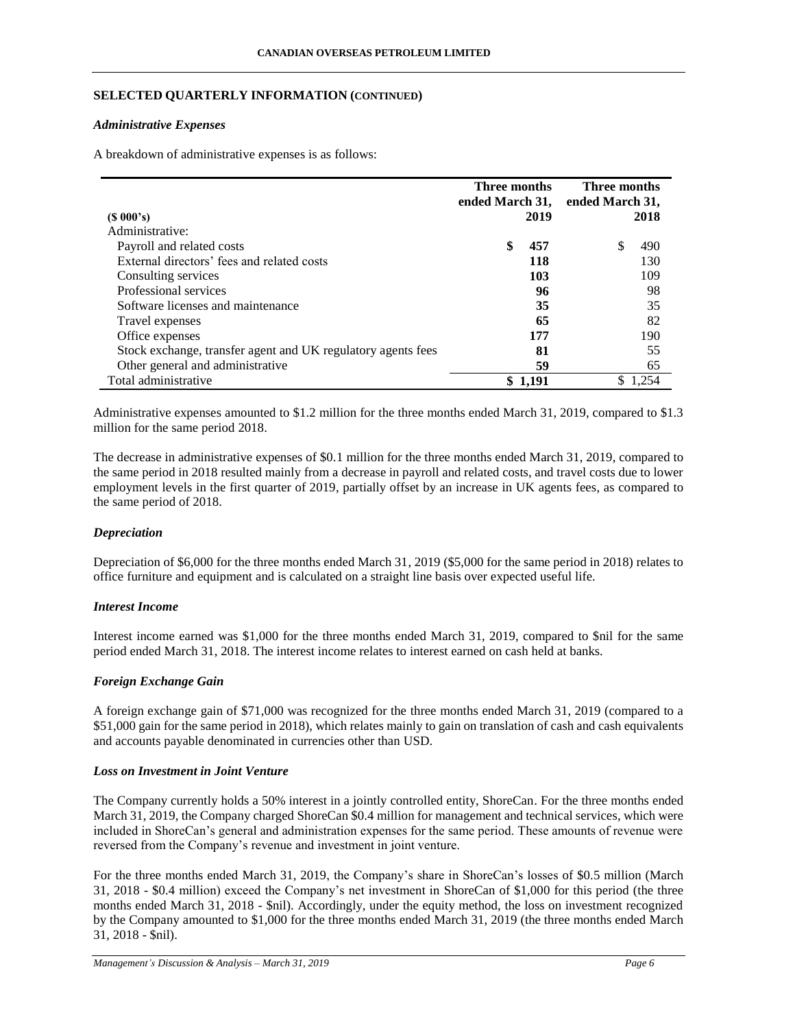# **SELECTED QUARTERLY INFORMATION (CONTINUED)**

### *Administrative Expenses*

A breakdown of administrative expenses is as follows:

|                                                              | Three months<br>ended March 31, ended March 31, |       | Three months |       |
|--------------------------------------------------------------|-------------------------------------------------|-------|--------------|-------|
| (S 000's)                                                    |                                                 | 2019  |              | 2018  |
| Administrative:                                              |                                                 |       |              |       |
| Payroll and related costs                                    | \$                                              | 457   | \$.          | 490   |
| External directors' fees and related costs                   |                                                 | 118   |              | 130   |
| Consulting services                                          |                                                 | 103   |              | 109   |
| Professional services                                        |                                                 | 96    |              | 98    |
| Software licenses and maintenance                            |                                                 | 35    |              | 35    |
| Travel expenses                                              |                                                 | 65    |              | 82    |
| Office expenses                                              |                                                 | 177   |              | 190   |
| Stock exchange, transfer agent and UK regulatory agents fees |                                                 | 81    |              | 55    |
| Other general and administrative                             |                                                 | 59    |              | 65    |
| Total administrative                                         |                                                 | 1,191 |              | 1.254 |

Administrative expenses amounted to \$1.2 million for the three months ended March 31, 2019, compared to \$1.3 million for the same period 2018.

The decrease in administrative expenses of \$0.1 million for the three months ended March 31, 2019, compared to the same period in 2018 resulted mainly from a decrease in payroll and related costs, and travel costs due to lower employment levels in the first quarter of 2019, partially offset by an increase in UK agents fees, as compared to the same period of 2018.

# *Depreciation*

Depreciation of \$6,000 for the three months ended March 31, 2019 (\$5,000 for the same period in 2018) relates to office furniture and equipment and is calculated on a straight line basis over expected useful life.

# *Interest Income*

Interest income earned was \$1,000 for the three months ended March 31, 2019, compared to \$nil for the same period ended March 31, 2018. The interest income relates to interest earned on cash held at banks.

# *Foreign Exchange Gain*

A foreign exchange gain of \$71,000 was recognized for the three months ended March 31, 2019 (compared to a \$51,000 gain for the same period in 2018), which relates mainly to gain on translation of cash and cash equivalents and accounts payable denominated in currencies other than USD.

### *Loss on Investment in Joint Venture*

The Company currently holds a 50% interest in a jointly controlled entity, ShoreCan. For the three months ended March 31, 2019, the Company charged ShoreCan \$0.4 million for management and technical services, which were included in ShoreCan's general and administration expenses for the same period. These amounts of revenue were reversed from the Company's revenue and investment in joint venture.

For the three months ended March 31, 2019, the Company's share in ShoreCan's losses of \$0.5 million (March 31, 2018 - \$0.4 million) exceed the Company's net investment in ShoreCan of \$1,000 for this period (the three months ended March 31, 2018 - \$nil). Accordingly, under the equity method, the loss on investment recognized by the Company amounted to \$1,000 for the three months ended March 31, 2019 (the three months ended March 31, 2018 - \$nil).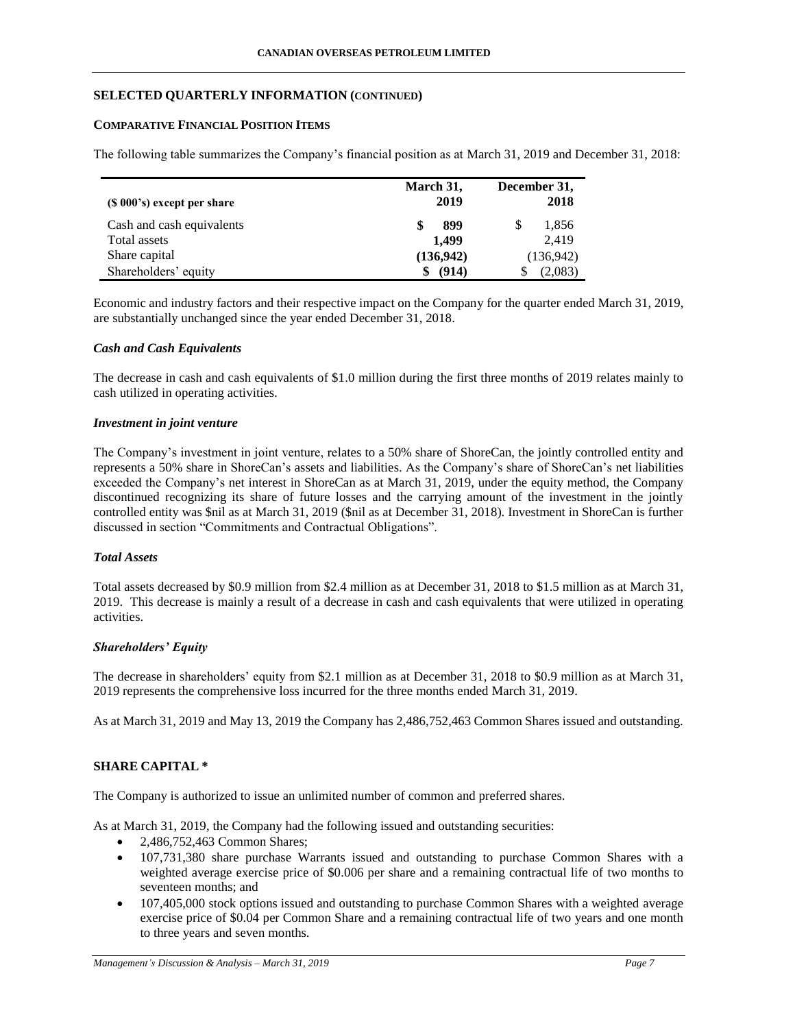# **SELECTED QUARTERLY INFORMATION (CONTINUED)**

### **COMPARATIVE FINANCIAL POSITION ITEMS**

The following table summarizes the Company's financial position as at March 31, 2019 and December 31, 2018:

| $(S 000's)$ except per share | March 31,<br>2019 | December 31,<br>2018 |
|------------------------------|-------------------|----------------------|
| Cash and cash equivalents    | 899               | 1,856<br>\$          |
| Total assets                 | 1.499             | 2.419                |
| Share capital                | (136,942)         | (136,942)            |
| Shareholders' equity         | (914)             | (2,083)              |

Economic and industry factors and their respective impact on the Company for the quarter ended March 31, 2019, are substantially unchanged since the year ended December 31, 2018.

# *Cash and Cash Equivalents*

The decrease in cash and cash equivalents of \$1.0 million during the first three months of 2019 relates mainly to cash utilized in operating activities.

### *Investment in joint venture*

The Company's investment in joint venture, relates to a 50% share of ShoreCan, the jointly controlled entity and represents a 50% share in ShoreCan's assets and liabilities. As the Company's share of ShoreCan's net liabilities exceeded the Company's net interest in ShoreCan as at March 31, 2019, under the equity method, the Company discontinued recognizing its share of future losses and the carrying amount of the investment in the jointly controlled entity was \$nil as at March 31, 2019 (\$nil as at December 31, 2018). Investment in ShoreCan is further discussed in section "Commitments and Contractual Obligations".

# *Total Assets*

Total assets decreased by \$0.9 million from \$2.4 million as at December 31, 2018 to \$1.5 million as at March 31, 2019. This decrease is mainly a result of a decrease in cash and cash equivalents that were utilized in operating activities.

# *Shareholders' Equity*

The decrease in shareholders' equity from \$2.1 million as at December 31, 2018 to \$0.9 million as at March 31, 2019 represents the comprehensive loss incurred for the three months ended March 31, 2019.

As at March 31, 2019 and May 13, 2019 the Company has 2,486,752,463 Common Shares issued and outstanding.

# **SHARE CAPITAL \***

The Company is authorized to issue an unlimited number of common and preferred shares.

As at March 31, 2019, the Company had the following issued and outstanding securities:

- 2,486,752,463 Common Shares;
- 107,731,380 share purchase Warrants issued and outstanding to purchase Common Shares with a weighted average exercise price of \$0.006 per share and a remaining contractual life of two months to seventeen months; and
- 107,405,000 stock options issued and outstanding to purchase Common Shares with a weighted average exercise price of \$0.04 per Common Share and a remaining contractual life of two years and one month to three years and seven months.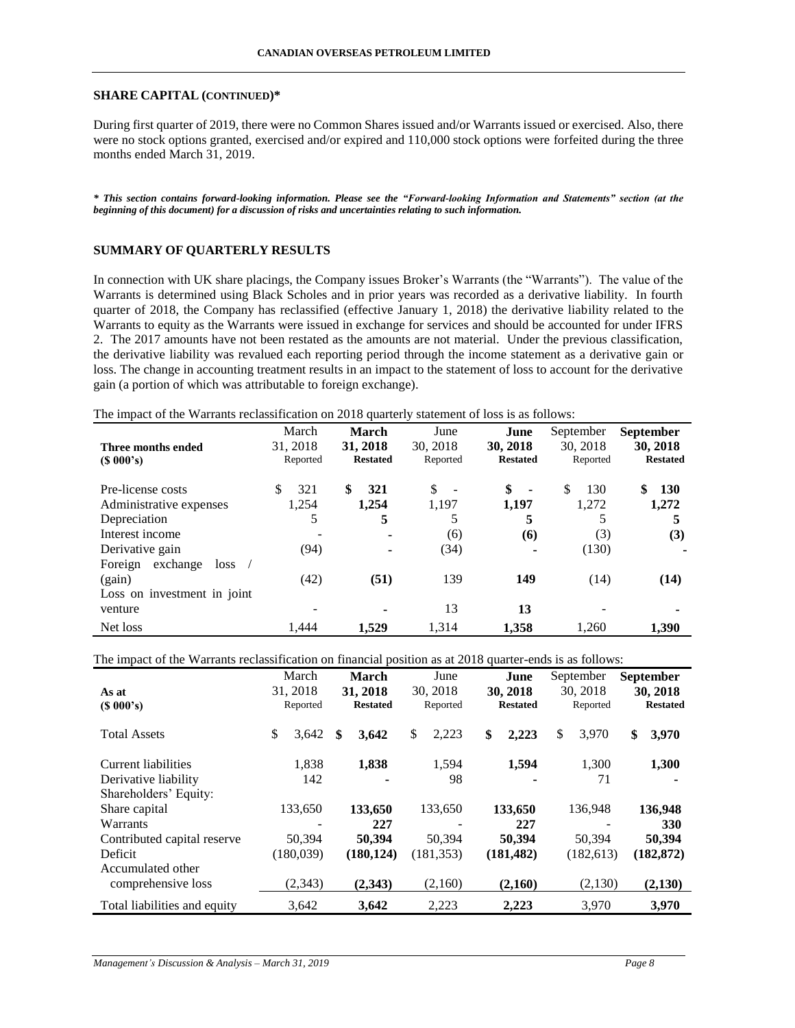#### **SHARE CAPITAL (CONTINUED)\***

During first quarter of 2019, there were no Common Shares issued and/or Warrants issued or exercised. Also, there were no stock options granted, exercised and/or expired and 110,000 stock options were forfeited during the three months ended March 31, 2019.

*\* This section contains forward-looking information. Please see the "Forward-looking Information and Statements" section (at the beginning of this document) for a discussion of risks and uncertainties relating to such information.*

## **SUMMARY OF QUARTERLY RESULTS**

In connection with UK share placings, the Company issues Broker's Warrants (the "Warrants"). The value of the Warrants is determined using Black Scholes and in prior years was recorded as a derivative liability. In fourth quarter of 2018, the Company has reclassified (effective January 1, 2018) the derivative liability related to the Warrants to equity as the Warrants were issued in exchange for services and should be accounted for under IFRS 2. The 2017 amounts have not been restated as the amounts are not material. Under the previous classification, the derivative liability was revalued each reporting period through the income statement as a derivative gain or loss. The change in accounting treatment results in an impact to the statement of loss to account for the derivative gain (a portion of which was attributable to foreign exchange).

The impact of the Warrants reclassification on 2018 quarterly statement of loss is as follows:

|                             | March    | <b>March</b>    | June                           | June                 | September | <b>September</b> |
|-----------------------------|----------|-----------------|--------------------------------|----------------------|-----------|------------------|
| Three months ended          | 31, 2018 | 31, 2018        | 30, 2018                       | 30, 2018             | 30.2018   | 30, 2018         |
| $(S\ 000's)$                | Reported | <b>Restated</b> | Reported                       | <b>Restated</b>      | Reported  | <b>Restated</b>  |
| Pre-license costs           | 321<br>S | \$<br>321       | \$<br>$\overline{\phantom{a}}$ | \$<br>$\blacksquare$ | \$<br>130 | \$<br><b>130</b> |
| Administrative expenses     | 1.254    | 1,254           | 1,197                          | 1,197                | 1.272     | 1,272            |
| Depreciation                | 5        | 5               |                                | 5                    |           | 5                |
| Interest income             |          | ۰               | (6)                            | (6)                  | (3)       | (3)              |
| Derivative gain             | (94)     | ۰               | (34)                           |                      | (130)     |                  |
| exchange<br>Foreign<br>loss |          |                 |                                |                      |           |                  |
| (gain)                      | (42)     | (51)            | 139                            | 149                  | (14)      | (14)             |
| Loss on investment in joint |          |                 |                                |                      |           |                  |
| venture                     |          | ۰               | 13                             | 13                   |           |                  |
| Net loss                    | 1.444    | 1.529           | 1.314                          | 1.358                | 1.260     | 1.390            |

The impact of the Warrants reclassification on financial position as at 2018 quarter-ends is as follows:

| л.                           | March       |   | <b>March</b>    | June        | June            | September   | <b>September</b> |
|------------------------------|-------------|---|-----------------|-------------|-----------------|-------------|------------------|
| As at                        | 31, 2018    |   | 31, 2018        | 30, 2018    | 30, 2018        | 30.2018     | 30, 2018         |
| (S 000's)                    | Reported    |   | <b>Restated</b> | Reported    | <b>Restated</b> | Reported    | <b>Restated</b>  |
| <b>Total Assets</b>          | \$<br>3,642 | S | 3,642           | \$<br>2,223 | \$<br>2,223     | \$<br>3,970 | \$<br>3,970      |
| <b>Current liabilities</b>   | 1,838       |   | 1,838           | 1,594       | 1,594           | 1,300       | 1,300            |
| Derivative liability         | 142         |   |                 | 98          |                 | 71          |                  |
| Shareholders' Equity:        |             |   |                 |             |                 |             |                  |
| Share capital                | 133,650     |   | 133,650         | 133,650     | 133,650         | 136,948     | 136,948          |
| Warrants                     |             |   | 227             |             | 227             |             | 330              |
| Contributed capital reserve  | 50,394      |   | 50.394          | 50.394      | 50.394          | 50.394      | 50,394           |
| Deficit                      | (180,039)   |   | (180, 124)      | (181, 353)  | (181, 482)      | (182, 613)  | (182, 872)       |
| Accumulated other            |             |   |                 |             |                 |             |                  |
| comprehensive loss           | (2,343)     |   | (2,343)         | (2,160)     | (2,160)         | (2,130)     | (2,130)          |
| Total liabilities and equity | 3,642       |   | 3,642           | 2,223       | 2,223           | 3,970       | 3,970            |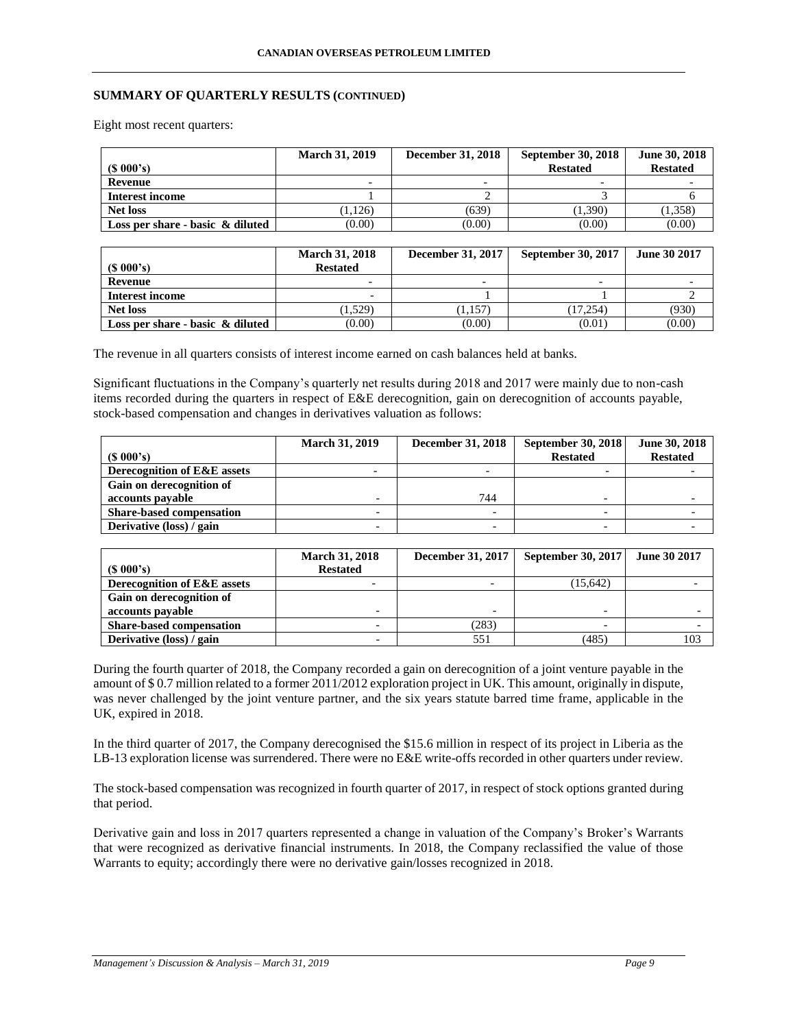# **SUMMARY OF QUARTERLY RESULTS (CONTINUED)**

Eight most recent quarters:

|                                     | <b>March 31, 2019</b> | <b>December 31, 2018</b> | <b>September 30, 2018</b> | June 30, 2018   |
|-------------------------------------|-----------------------|--------------------------|---------------------------|-----------------|
| $(S\ 000's)$                        |                       |                          | <b>Restated</b>           | <b>Restated</b> |
| Revenue                             |                       |                          |                           |                 |
| Interest income                     |                       |                          |                           |                 |
| Net loss                            | 1.126                 | (639)                    | (1.390)                   | (1,358)         |
| Loss per share - basic $\&$ diluted | (0.00)                | (0.00)                   | (0.00)                    | (0.00)          |

|                                     | <b>March 31, 2018</b> | <b>December 31, 2017</b> | <b>September 30, 2017</b> | June 30 2017 |
|-------------------------------------|-----------------------|--------------------------|---------------------------|--------------|
| (S 000's)                           | <b>Restated</b>       |                          |                           |              |
| Revenue                             |                       |                          |                           |              |
| Interest income                     |                       |                          |                           |              |
| <b>Net loss</b>                     | (1.529)               | (1.157)                  | (17.254)                  | (930)        |
| Loss per share - basic $\&$ diluted | (0.00)                | (0.00)                   | (0.01)                    | (0.00)       |

The revenue in all quarters consists of interest income earned on cash balances held at banks.

Significant fluctuations in the Company's quarterly net results during 2018 and 2017 were mainly due to non-cash items recorded during the quarters in respect of E&E derecognition, gain on derecognition of accounts payable, stock-based compensation and changes in derivatives valuation as follows:

|                                 | <b>March 31, 2019</b> | <b>December 31, 2018</b> | <b>September 30, 2018</b> | June 30, 2018   |
|---------------------------------|-----------------------|--------------------------|---------------------------|-----------------|
| $(S\ 000's)$                    |                       |                          | <b>Restated</b>           | <b>Restated</b> |
| Derecognition of E&E assets     |                       |                          |                           |                 |
| Gain on derecognition of        |                       |                          |                           |                 |
| accounts payable                |                       | 744                      |                           |                 |
| <b>Share-based compensation</b> |                       |                          |                           |                 |
| Derivative (loss) / gain        |                       |                          |                           |                 |

|                                 | <b>March 31, 2018</b>    | <b>December 31, 2017</b> | <b>September 30, 2017</b> | <b>June 30 2017</b> |
|---------------------------------|--------------------------|--------------------------|---------------------------|---------------------|
| $(S\ 000's)$                    | <b>Restated</b>          |                          |                           |                     |
| Derecognition of E&E assets     |                          |                          | (15, 642)                 |                     |
| Gain on derecognition of        |                          |                          |                           |                     |
| accounts payable                |                          |                          |                           |                     |
| <b>Share-based compensation</b> | $\overline{\phantom{0}}$ | (283)                    | $\overline{\phantom{0}}$  |                     |
| Derivative (loss) / gain        |                          | 551                      | (485)                     | 103                 |

During the fourth quarter of 2018, the Company recorded a gain on derecognition of a joint venture payable in the amount of \$ 0.7 million related to a former 2011/2012 exploration project in UK. This amount, originally in dispute, was never challenged by the joint venture partner, and the six years statute barred time frame, applicable in the UK, expired in 2018.

In the third quarter of 2017, the Company derecognised the \$15.6 million in respect of its project in Liberia as the LB-13 exploration license was surrendered. There were no E&E write-offs recorded in other quarters under review.

The stock-based compensation was recognized in fourth quarter of 2017, in respect of stock options granted during that period.

Derivative gain and loss in 2017 quarters represented a change in valuation of the Company's Broker's Warrants that were recognized as derivative financial instruments. In 2018, the Company reclassified the value of those Warrants to equity; accordingly there were no derivative gain/losses recognized in 2018.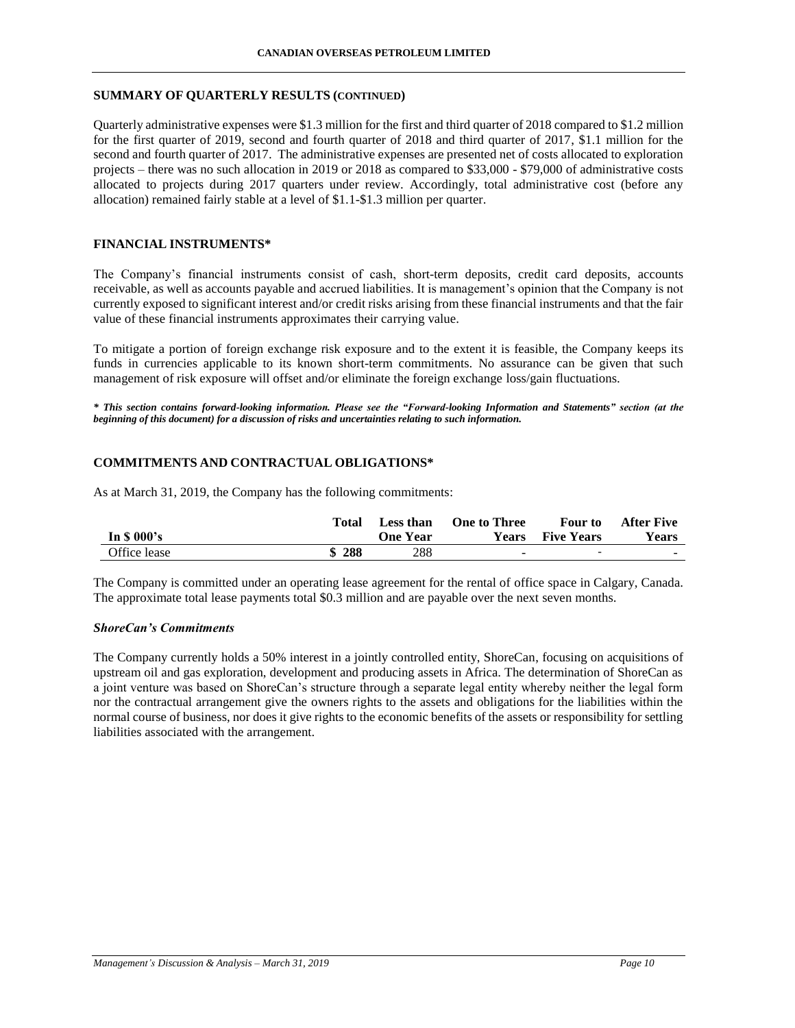## **SUMMARY OF QUARTERLY RESULTS (CONTINUED)**

Quarterly administrative expenses were \$1.3 million for the first and third quarter of 2018 compared to \$1.2 million for the first quarter of 2019, second and fourth quarter of 2018 and third quarter of 2017, \$1.1 million for the second and fourth quarter of 2017. The administrative expenses are presented net of costs allocated to exploration projects – there was no such allocation in 2019 or 2018 as compared to \$33,000 - \$79,000 of administrative costs allocated to projects during 2017 quarters under review. Accordingly, total administrative cost (before any allocation) remained fairly stable at a level of \$1.1-\$1.3 million per quarter.

# **FINANCIAL INSTRUMENTS\***

The Company's financial instruments consist of cash, short-term deposits, credit card deposits, accounts receivable, as well as accounts payable and accrued liabilities. It is management's opinion that the Company is not currently exposed to significant interest and/or credit risks arising from these financial instruments and that the fair value of these financial instruments approximates their carrying value.

To mitigate a portion of foreign exchange risk exposure and to the extent it is feasible, the Company keeps its funds in currencies applicable to its known short-term commitments. No assurance can be given that such management of risk exposure will offset and/or eliminate the foreign exchange loss/gain fluctuations.

*\* This section contains forward-looking information. Please see the "Forward-looking Information and Statements" section (at the beginning of this document) for a discussion of risks and uncertainties relating to such information.*

# **COMMITMENTS AND CONTRACTUAL OBLIGATIONS\***

As at March 31, 2019, the Company has the following commitments:

|              | Total | Less than | <b>One to Three</b> | <b>Four</b> to           | <b>After Five</b> |
|--------------|-------|-----------|---------------------|--------------------------|-------------------|
| In $$000's$  |       | One Year  | Years               | <b>Five Years</b>        | <b>Years</b>      |
| Office lease | \$288 | 288       | -                   | $\overline{\phantom{0}}$ | <b>COL</b>        |

The Company is committed under an operating lease agreement for the rental of office space in Calgary, Canada. The approximate total lease payments total \$0.3 million and are payable over the next seven months.

# *ShoreCan's Commitments*

The Company currently holds a 50% interest in a jointly controlled entity, ShoreCan, focusing on acquisitions of upstream oil and gas exploration, development and producing assets in Africa. The determination of ShoreCan as a joint venture was based on ShoreCan's structure through a separate legal entity whereby neither the legal form nor the contractual arrangement give the owners rights to the assets and obligations for the liabilities within the normal course of business, nor does it give rights to the economic benefits of the assets or responsibility for settling liabilities associated with the arrangement.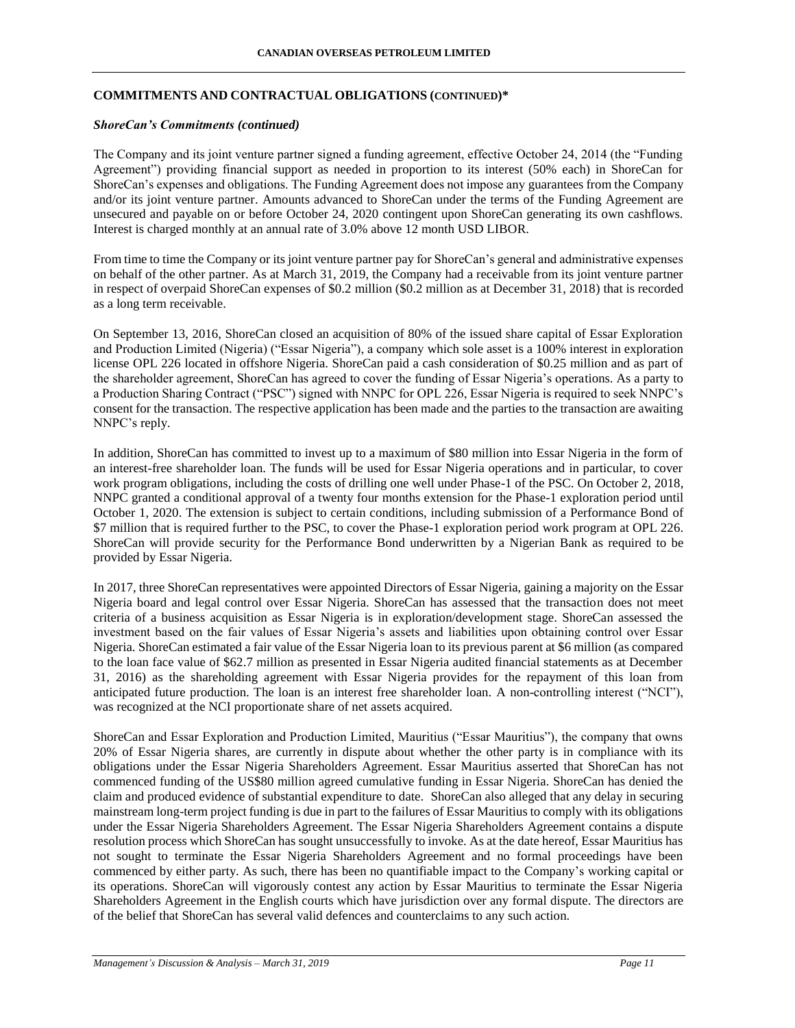# **COMMITMENTS AND CONTRACTUAL OBLIGATIONS (CONTINUED)\***

### *ShoreCan's Commitments (continued)*

The Company and its joint venture partner signed a funding agreement, effective October 24, 2014 (the "Funding Agreement") providing financial support as needed in proportion to its interest (50% each) in ShoreCan for ShoreCan's expenses and obligations. The Funding Agreement does not impose any guarantees from the Company and/or its joint venture partner. Amounts advanced to ShoreCan under the terms of the Funding Agreement are unsecured and payable on or before October 24, 2020 contingent upon ShoreCan generating its own cashflows. Interest is charged monthly at an annual rate of 3.0% above 12 month USD LIBOR.

From time to time the Company or its joint venture partner pay for ShoreCan's general and administrative expenses on behalf of the other partner. As at March 31, 2019, the Company had a receivable from its joint venture partner in respect of overpaid ShoreCan expenses of \$0.2 million (\$0.2 million as at December 31, 2018) that is recorded as a long term receivable.

On September 13, 2016, ShoreCan closed an acquisition of 80% of the issued share capital of Essar Exploration and Production Limited (Nigeria) ("Essar Nigeria"), a company which sole asset is a 100% interest in exploration license OPL 226 located in offshore Nigeria. ShoreCan paid a cash consideration of \$0.25 million and as part of the shareholder agreement, ShoreCan has agreed to cover the funding of Essar Nigeria's operations. As a party to a Production Sharing Contract ("PSC") signed with NNPC for OPL 226, Essar Nigeria is required to seek NNPC's consent for the transaction. The respective application has been made and the parties to the transaction are awaiting NNPC's reply.

In addition, ShoreCan has committed to invest up to a maximum of \$80 million into Essar Nigeria in the form of an interest-free shareholder loan. The funds will be used for Essar Nigeria operations and in particular, to cover work program obligations, including the costs of drilling one well under Phase-1 of the PSC. On October 2, 2018, NNPC granted a conditional approval of a twenty four months extension for the Phase-1 exploration period until October 1, 2020. The extension is subject to certain conditions, including submission of a Performance Bond of \$7 million that is required further to the PSC, to cover the Phase-1 exploration period work program at OPL 226. ShoreCan will provide security for the Performance Bond underwritten by a Nigerian Bank as required to be provided by Essar Nigeria.

In 2017, three ShoreCan representatives were appointed Directors of Essar Nigeria, gaining a majority on the Essar Nigeria board and legal control over Essar Nigeria. ShoreCan has assessed that the transaction does not meet criteria of a business acquisition as Essar Nigeria is in exploration/development stage. ShoreCan assessed the investment based on the fair values of Essar Nigeria's assets and liabilities upon obtaining control over Essar Nigeria. ShoreCan estimated a fair value of the Essar Nigeria loan to its previous parent at \$6 million (as compared to the loan face value of \$62.7 million as presented in Essar Nigeria audited financial statements as at December 31, 2016) as the shareholding agreement with Essar Nigeria provides for the repayment of this loan from anticipated future production. The loan is an interest free shareholder loan. A non-controlling interest ("NCI"), was recognized at the NCI proportionate share of net assets acquired.

ShoreCan and Essar Exploration and Production Limited, Mauritius ("Essar Mauritius"), the company that owns 20% of Essar Nigeria shares, are currently in dispute about whether the other party is in compliance with its obligations under the Essar Nigeria Shareholders Agreement. Essar Mauritius asserted that ShoreCan has not commenced funding of the US\$80 million agreed cumulative funding in Essar Nigeria. ShoreCan has denied the claim and produced evidence of substantial expenditure to date. ShoreCan also alleged that any delay in securing mainstream long-term project funding is due in part to the failures of Essar Mauritius to comply with its obligations under the Essar Nigeria Shareholders Agreement. The Essar Nigeria Shareholders Agreement contains a dispute resolution process which ShoreCan has sought unsuccessfully to invoke. As at the date hereof, Essar Mauritius has not sought to terminate the Essar Nigeria Shareholders Agreement and no formal proceedings have been commenced by either party. As such, there has been no quantifiable impact to the Company's working capital or its operations. ShoreCan will vigorously contest any action by Essar Mauritius to terminate the Essar Nigeria Shareholders Agreement in the English courts which have jurisdiction over any formal dispute. The directors are of the belief that ShoreCan has several valid defences and counterclaims to any such action.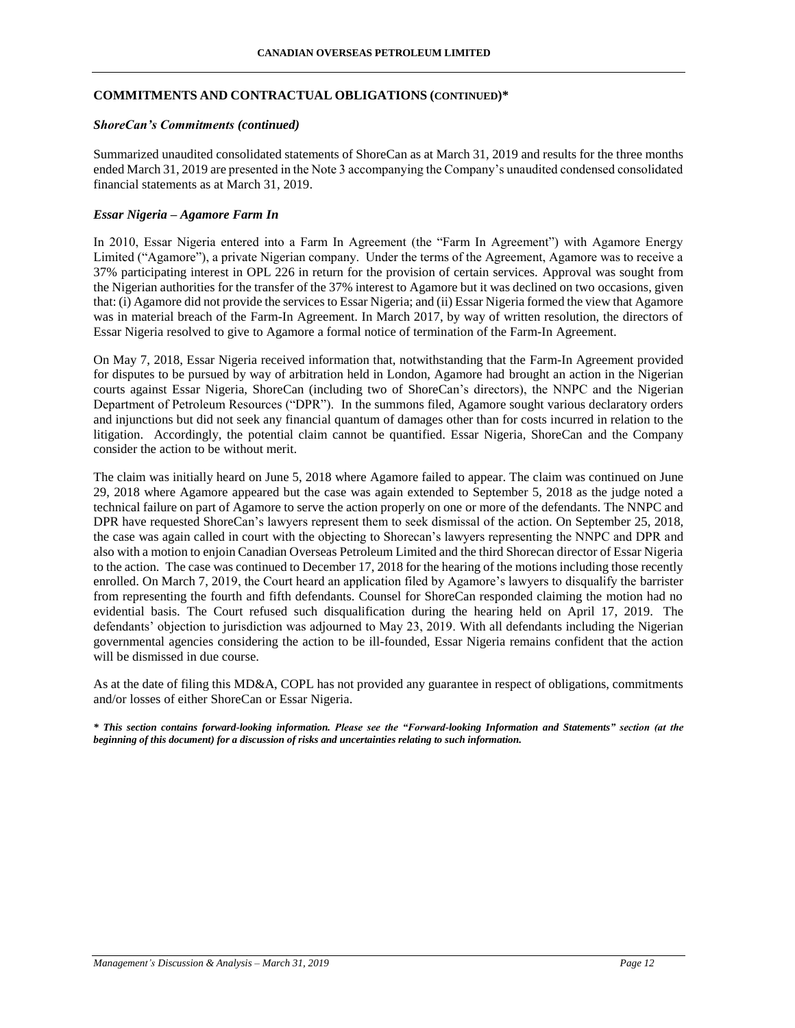#### **CANADIAN OVERSEAS PETROLEUM LIMITED**

### **COMMITMENTS AND CONTRACTUAL OBLIGATIONS (CONTINUED)\***

### *ShoreCan's Commitments (continued)*

Summarized unaudited consolidated statements of ShoreCan as at March 31, 2019 and results for the three months ended March 31, 2019 are presented in the Note 3 accompanying the Company's unaudited condensed consolidated financial statements as at March 31, 2019.

## *Essar Nigeria – Agamore Farm In*

In 2010, Essar Nigeria entered into a Farm In Agreement (the "Farm In Agreement") with Agamore Energy Limited ("Agamore"), a private Nigerian company. Under the terms of the Agreement, Agamore was to receive a 37% participating interest in OPL 226 in return for the provision of certain services. Approval was sought from the Nigerian authorities for the transfer of the 37% interest to Agamore but it was declined on two occasions, given that: (i) Agamore did not provide the services to Essar Nigeria; and (ii) Essar Nigeria formed the view that Agamore was in material breach of the Farm-In Agreement. In March 2017, by way of written resolution, the directors of Essar Nigeria resolved to give to Agamore a formal notice of termination of the Farm-In Agreement.

On May 7, 2018, Essar Nigeria received information that, notwithstanding that the Farm-In Agreement provided for disputes to be pursued by way of arbitration held in London, Agamore had brought an action in the Nigerian courts against Essar Nigeria, ShoreCan (including two of ShoreCan's directors), the NNPC and the Nigerian Department of Petroleum Resources ("DPR"). In the summons filed, Agamore sought various declaratory orders and injunctions but did not seek any financial quantum of damages other than for costs incurred in relation to the litigation. Accordingly, the potential claim cannot be quantified. Essar Nigeria, ShoreCan and the Company consider the action to be without merit.

The claim was initially heard on June 5, 2018 where Agamore failed to appear. The claim was continued on June 29, 2018 where Agamore appeared but the case was again extended to September 5, 2018 as the judge noted a technical failure on part of Agamore to serve the action properly on one or more of the defendants. The NNPC and DPR have requested ShoreCan's lawyers represent them to seek dismissal of the action. On September 25, 2018, the case was again called in court with the objecting to Shorecan's lawyers representing the NNPC and DPR and also with a motion to enjoin Canadian Overseas Petroleum Limited and the third Shorecan director of Essar Nigeria to the action. The case was continued to December 17, 2018 for the hearing of the motions including those recently enrolled. On March 7, 2019, the Court heard an application filed by Agamore's lawyers to disqualify the barrister from representing the fourth and fifth defendants. Counsel for ShoreCan responded claiming the motion had no evidential basis. The Court refused such disqualification during the hearing held on April 17, 2019. The defendants' objection to jurisdiction was adjourned to May 23, 2019. With all defendants including the Nigerian governmental agencies considering the action to be ill-founded, Essar Nigeria remains confident that the action will be dismissed in due course.

As at the date of filing this MD&A, COPL has not provided any guarantee in respect of obligations, commitments and/or losses of either ShoreCan or Essar Nigeria.

*\* This section contains forward-looking information. Please see the "Forward-looking Information and Statements" section (at the beginning of this document) for a discussion of risks and uncertainties relating to such information.*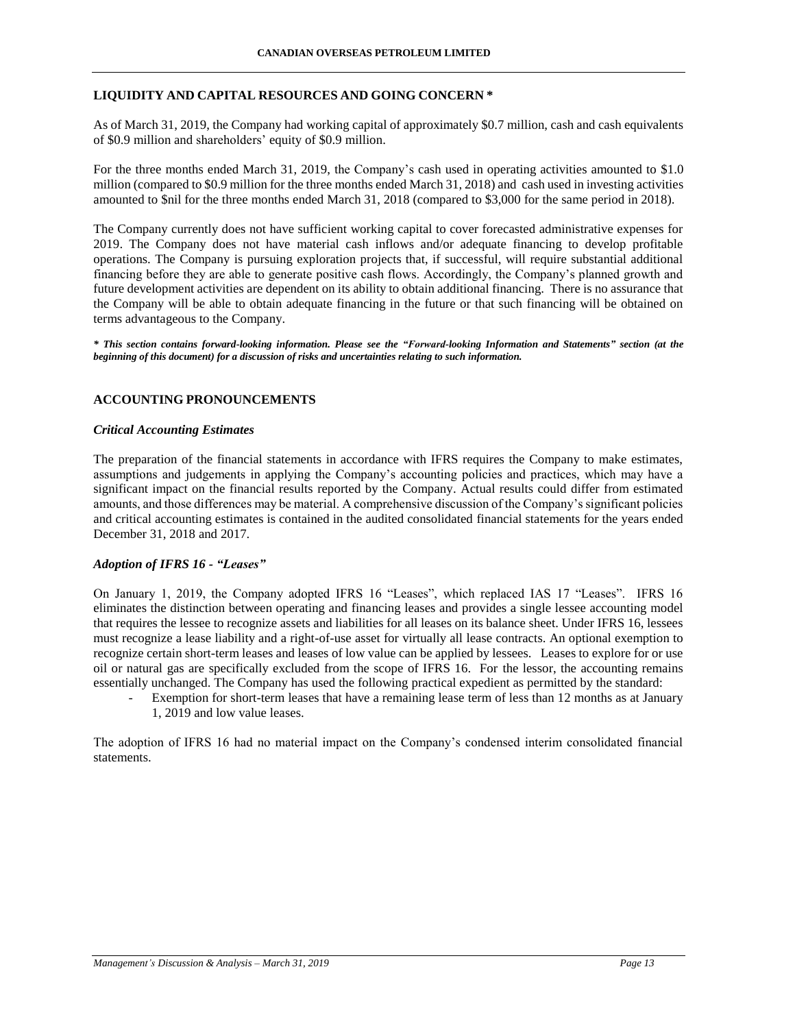# **LIQUIDITY AND CAPITAL RESOURCES AND GOING CONCERN \***

As of March 31, 2019, the Company had working capital of approximately \$0.7 million, cash and cash equivalents of \$0.9 million and shareholders' equity of \$0.9 million.

For the three months ended March 31, 2019, the Company's cash used in operating activities amounted to \$1.0 million (compared to \$0.9 million for the three months ended March 31, 2018) and cash used in investing activities amounted to \$nil for the three months ended March 31, 2018 (compared to \$3,000 for the same period in 2018).

The Company currently does not have sufficient working capital to cover forecasted administrative expenses for 2019. The Company does not have material cash inflows and/or adequate financing to develop profitable operations. The Company is pursuing exploration projects that, if successful, will require substantial additional financing before they are able to generate positive cash flows. Accordingly, the Company's planned growth and future development activities are dependent on its ability to obtain additional financing. There is no assurance that the Company will be able to obtain adequate financing in the future or that such financing will be obtained on terms advantageous to the Company.

*\* This section contains forward-looking information. Please see the "Forward-looking Information and Statements" section (at the beginning of this document) for a discussion of risks and uncertainties relating to such information.*

# **ACCOUNTING PRONOUNCEMENTS**

### *Critical Accounting Estimates*

The preparation of the financial statements in accordance with IFRS requires the Company to make estimates, assumptions and judgements in applying the Company's accounting policies and practices, which may have a significant impact on the financial results reported by the Company. Actual results could differ from estimated amounts, and those differences may be material. A comprehensive discussion of the Company's significant policies and critical accounting estimates is contained in the audited consolidated financial statements for the years ended December 31, 2018 and 2017.

## *Adoption of IFRS 16 - "Leases"*

On January 1, 2019, the Company adopted IFRS 16 "Leases", which replaced IAS 17 "Leases". IFRS 16 eliminates the distinction between operating and financing leases and provides a single lessee accounting model that requires the lessee to recognize assets and liabilities for all leases on its balance sheet. Under IFRS 16, lessees must recognize a lease liability and a right-of-use asset for virtually all lease contracts. An optional exemption to recognize certain short-term leases and leases of low value can be applied by lessees. Leases to explore for or use oil or natural gas are specifically excluded from the scope of IFRS 16. For the lessor, the accounting remains essentially unchanged. The Company has used the following practical expedient as permitted by the standard:

Exemption for short-term leases that have a remaining lease term of less than 12 months as at January 1, 2019 and low value leases.

The adoption of IFRS 16 had no material impact on the Company's condensed interim consolidated financial statements.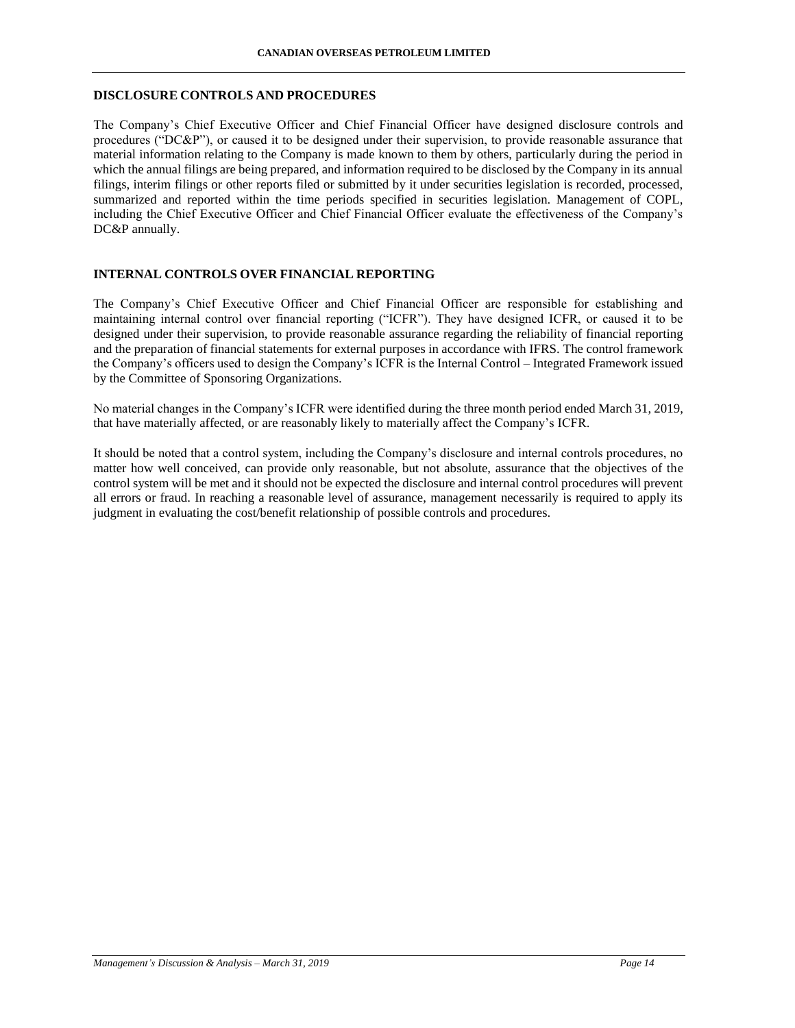### **DISCLOSURE CONTROLS AND PROCEDURES**

The Company's Chief Executive Officer and Chief Financial Officer have designed disclosure controls and procedures ("DC&P"), or caused it to be designed under their supervision, to provide reasonable assurance that material information relating to the Company is made known to them by others, particularly during the period in which the annual filings are being prepared, and information required to be disclosed by the Company in its annual filings, interim filings or other reports filed or submitted by it under securities legislation is recorded, processed, summarized and reported within the time periods specified in securities legislation. Management of COPL, including the Chief Executive Officer and Chief Financial Officer evaluate the effectiveness of the Company's DC&P annually.

### **INTERNAL CONTROLS OVER FINANCIAL REPORTING**

The Company's Chief Executive Officer and Chief Financial Officer are responsible for establishing and maintaining internal control over financial reporting ("ICFR"). They have designed ICFR, or caused it to be designed under their supervision, to provide reasonable assurance regarding the reliability of financial reporting and the preparation of financial statements for external purposes in accordance with IFRS. The control framework the Company's officers used to design the Company's ICFR is the Internal Control – Integrated Framework issued by the Committee of Sponsoring Organizations.

No material changes in the Company's ICFR were identified during the three month period ended March 31, 2019, that have materially affected, or are reasonably likely to materially affect the Company's ICFR.

It should be noted that a control system, including the Company's disclosure and internal controls procedures, no matter how well conceived, can provide only reasonable, but not absolute, assurance that the objectives of the control system will be met and it should not be expected the disclosure and internal control procedures will prevent all errors or fraud. In reaching a reasonable level of assurance, management necessarily is required to apply its judgment in evaluating the cost/benefit relationship of possible controls and procedures.